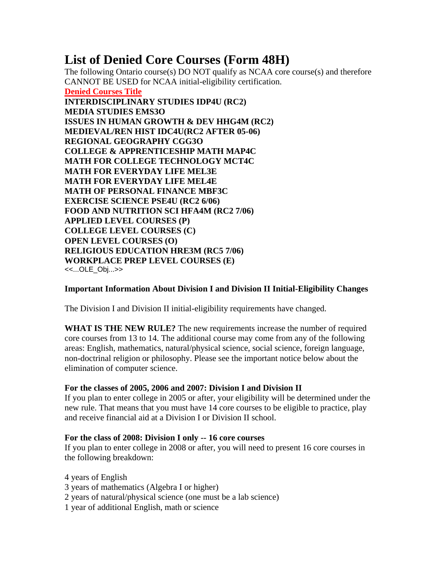# **List of Denied Core Courses (Form 48H)**

The following Ontario course(s) DO NOT qualify as NCAA core course(s) and therefore CANNOT BE USED for NCAA initial-eligibility certification. **Denied Courses Title INTERDISCIPLINARY STUDIES IDP4U (RC2) MEDIA STUDIES EMS3O ISSUES IN HUMAN GROWTH & DEV HHG4M (RC2) MEDIEVAL/REN HIST IDC4U(RC2 AFTER 05-06) REGIONAL GEOGRAPHY CGG3O COLLEGE & APPRENTICESHIP MATH MAP4C MATH FOR COLLEGE TECHNOLOGY MCT4C MATH FOR EVERYDAY LIFE MEL3E MATH FOR EVERYDAY LIFE MEL4E MATH OF PERSONAL FINANCE MBF3C EXERCISE SCIENCE PSE4U (RC2 6/06) FOOD AND NUTRITION SCI HFA4M (RC2 7/06) APPLIED LEVEL COURSES (P) COLLEGE LEVEL COURSES (C) OPEN LEVEL COURSES (O) RELIGIOUS EDUCATION HRE3M (RC5 7/06) WORKPLACE PREP LEVEL COURSES (E)** <<...OLE\_Obj...>>

# **Important Information About Division I and Division II Initial-Eligibility Changes**

The Division I and Division II initial-eligibility requirements have changed.

**WHAT IS THE NEW RULE?** The new requirements increase the number of required core courses from 13 to 14. The additional course may come from any of the following areas: English, mathematics, natural/physical science, social science, foreign language, non-doctrinal religion or philosophy. Please see the important notice below about the elimination of computer science.

# **For the classes of 2005, 2006 and 2007: Division I and Division II**

If you plan to enter college in 2005 or after, your eligibility will be determined under the new rule. That means that you must have 14 core courses to be eligible to practice, play and receive financial aid at a Division I or Division II school.

## **For the class of 2008: Division I only -- 16 core courses**

If you plan to enter college in 2008 or after, you will need to present 16 core courses in the following breakdown:

4 years of English

- 3 years of mathematics (Algebra I or higher)
- 2 years of natural/physical science (one must be a lab science)
- 1 year of additional English, math or science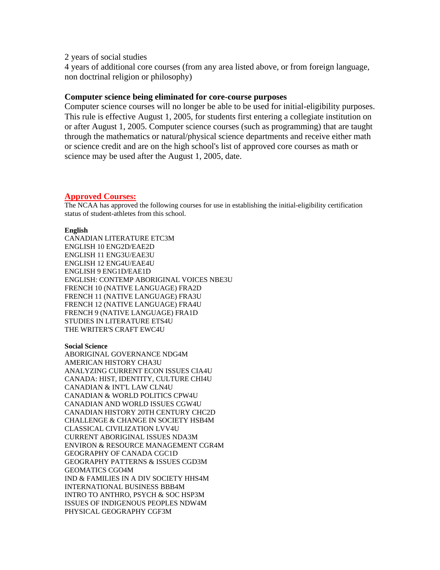2 years of social studies

4 years of additional core courses (from any area listed above, or from foreign language, non doctrinal religion or philosophy)

## **Computer science being eliminated for core-course purposes**

Computer science courses will no longer be able to be used for initial-eligibility purposes. This rule is effective August 1, 2005, for students first entering a collegiate institution on or after August 1, 2005. Computer science courses (such as programming) that are taught through the mathematics or natural/physical science departments and receive either math or science credit and are on the high school's list of approved core courses as math or science may be used after the August 1, 2005, date.

## **Approved Courses:**

The NCAA has approved the following courses for use in establishing the initial-eligibility certification status of student-athletes from this school.

#### **English**

CANADIAN LITERATURE ETC3M ENGLISH 10 ENG2D/EAE2D ENGLISH 11 ENG3U/EAE3U ENGLISH 12 ENG4U/EAE4U ENGLISH 9 ENG1D/EAE1D ENGLISH: CONTEMP ABORIGINAL VOICES NBE3U FRENCH 10 (NATIVE LANGUAGE) FRA2D FRENCH 11 (NATIVE LANGUAGE) FRA3U FRENCH 12 (NATIVE LANGUAGE) FRA4U FRENCH 9 (NATIVE LANGUAGE) FRA1D STUDIES IN LITERATURE ETS4U THE WRITER'S CRAFT EWC4U

#### **Social Science**

ABORIGINAL GOVERNANCE NDG4M AMERICAN HISTORY CHA3U ANALYZING CURRENT ECON ISSUES CIA4U CANADA: HIST, IDENTITY, CULTURE CHI4U CANADIAN & INT'L LAW CLN4U CANADIAN & WORLD POLITICS CPW4U CANADIAN AND WORLD ISSUES CGW4U CANADIAN HISTORY 20TH CENTURY CHC2D CHALLENGE & CHANGE IN SOCIETY HSB4M CLASSICAL CIVILIZATION LVV4U CURRENT ABORIGINAL ISSUES NDA3M ENVIRON & RESOURCE MANAGEMENT CGR4M GEOGRAPHY OF CANADA CGC1D GEOGRAPHY PATTERNS & ISSUES CGD3M GEOMATICS CGO4M IND & FAMILIES IN A DIV SOCIETY HHS4M INTERNATIONAL BUSINESS BBB4M INTRO TO ANTHRO, PSYCH & SOC HSP3M ISSUES OF INDIGENOUS PEOPLES NDW4M PHYSICAL GEOGRAPHY CGF3M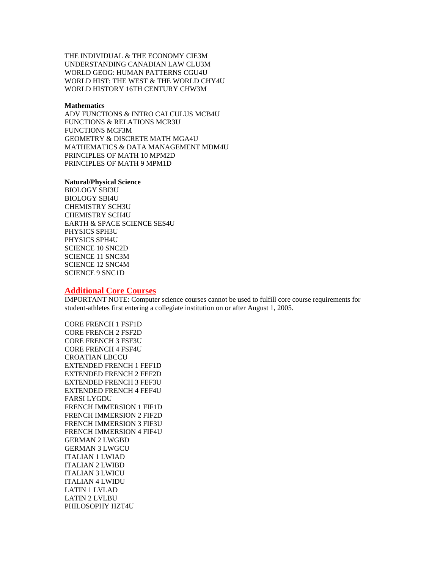THE INDIVIDUAL & THE ECONOMY CIE3M UNDERSTANDING CANADIAN LAW CLU3M WORLD GEOG: HUMAN PATTERNS CGU4U WORLD HIST: THE WEST & THE WORLD CHY4U WORLD HISTORY 16TH CENTURY CHW3M

#### **Mathematics**

ADV FUNCTIONS & INTRO CALCULUS MCB4U FUNCTIONS & RELATIONS MCR3U FUNCTIONS MCF3M GEOMETRY & DISCRETE MATH MGA4U MATHEMATICS & DATA MANAGEMENT MDM4U PRINCIPLES OF MATH 10 MPM2D PRINCIPLES OF MATH 9 MPM1D

#### **Natural/Physical Science**

BIOLOGY SBI3U BIOLOGY SBI4U CHEMISTRY SCH3U CHEMISTRY SCH4U EARTH & SPACE SCIENCE SES4U PHYSICS SPH3U PHYSICS SPH4U SCIENCE 10 SNC2D SCIENCE 11 SNC3M SCIENCE 12 SNC4M SCIENCE 9 SNC1D

#### **Additional Core Courses**

IMPORTANT NOTE: Computer science courses cannot be used to fulfill core course requirements for student-athletes first entering a collegiate institution on or after August 1, 2005.

CORE FRENCH 1 FSF1D CORE FRENCH 2 FSF2D CORE FRENCH 3 FSF3U CORE FRENCH 4 FSF4U CROATIAN LBCCU EXTENDED FRENCH 1 FEF1D EXTENDED FRENCH 2 FEF2D EXTENDED FRENCH 3 FEF3U EXTENDED FRENCH 4 FEF4U FARSI LYGDU FRENCH IMMERSION 1 FIF1D FRENCH IMMERSION 2 FIF2D FRENCH IMMERSION 3 FIF3U FRENCH IMMERSION 4 FIF4U GERMAN 2 LWGBD GERMAN 3 LWGCU ITALIAN 1 LWIAD ITALIAN 2 LWIBD ITALIAN 3 LWICU ITALIAN 4 LWIDU LATIN 1 LVLAD LATIN 2 LVLBU PHILOSOPHY HZT4U